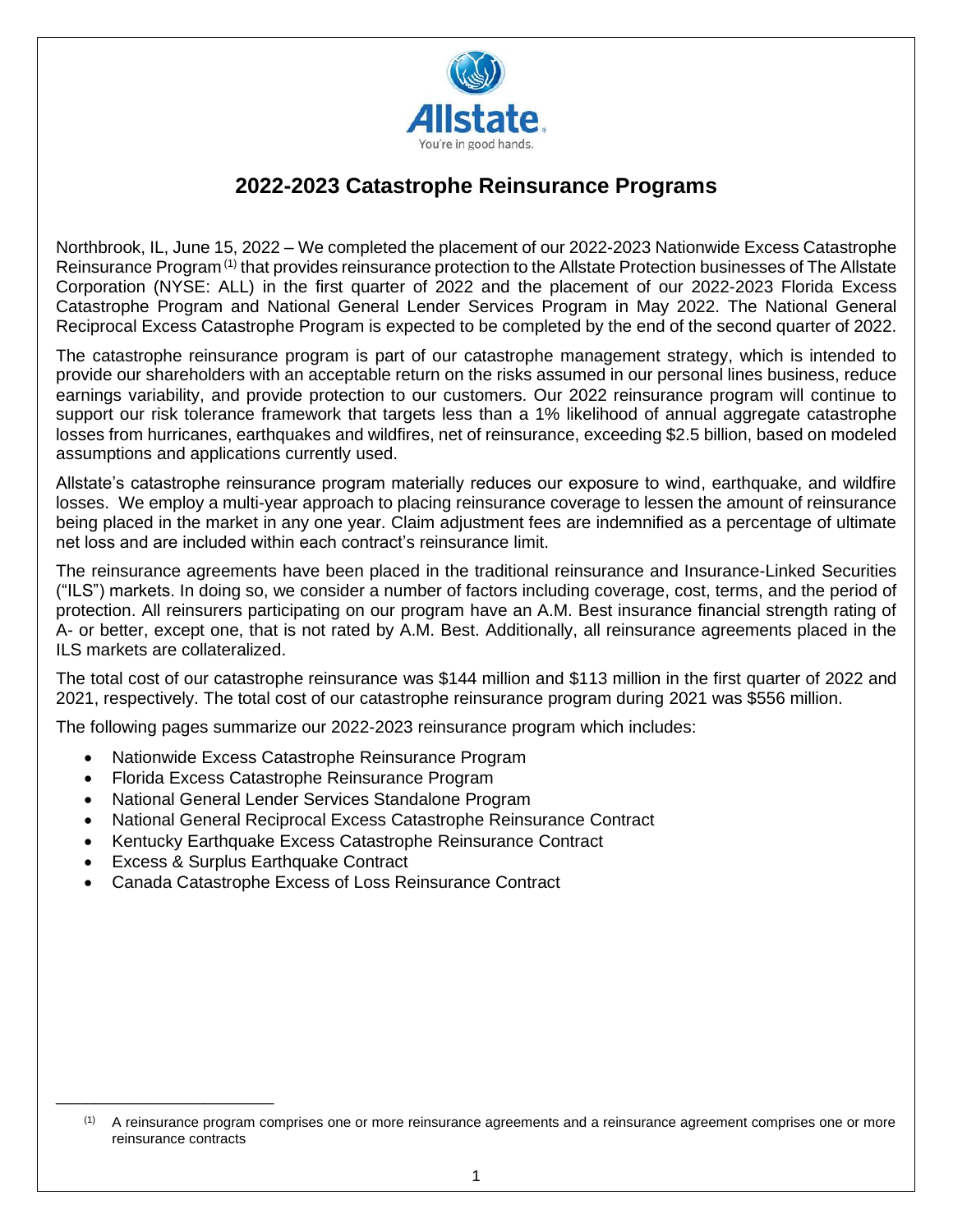

# **2022-2023 Catastrophe Reinsurance Programs**

Northbrook, IL, June 15, 2022 – We completed the placement of our 2022-2023 Nationwide Excess Catastrophe Reinsurance Program<sup>(1)</sup> that provides reinsurance protection to the Allstate Protection businesses of The Allstate Corporation (NYSE: ALL) in the first quarter of 2022 and the placement of our 2022-2023 Florida Excess Catastrophe Program and National General Lender Services Program in May 2022. The National General Reciprocal Excess Catastrophe Program is expected to be completed by the end of the second quarter of 2022.

The catastrophe reinsurance program is part of our catastrophe management strategy, which is intended to provide our shareholders with an acceptable return on the risks assumed in our personal lines business, reduce earnings variability, and provide protection to our customers. Our 2022 reinsurance program will continue to support our risk tolerance framework that targets less than a 1% likelihood of annual aggregate catastrophe losses from hurricanes, earthquakes and wildfires, net of reinsurance, exceeding \$2.5 billion, based on modeled assumptions and applications currently used.

Allstate's catastrophe reinsurance program materially reduces our exposure to wind, earthquake, and wildfire losses. We employ a multi-year approach to placing reinsurance coverage to lessen the amount of reinsurance being placed in the market in any one year. Claim adjustment fees are indemnified as a percentage of ultimate net loss and are included within each contract's reinsurance limit.

The reinsurance agreements have been placed in the traditional reinsurance and Insurance-Linked Securities ("ILS") markets. In doing so, we consider a number of factors including coverage, cost, terms, and the period of protection. All reinsurers participating on our program have an A.M. Best insurance financial strength rating of A- or better, except one, that is not rated by A.M. Best. Additionally, all reinsurance agreements placed in the ILS markets are collateralized.

The total cost of our catastrophe reinsurance was \$144 million and \$113 million in the first quarter of 2022 and 2021, respectively. The total cost of our catastrophe reinsurance program during 2021 was \$556 million.

The following pages summarize our 2022-2023 reinsurance program which includes:

- Nationwide Excess Catastrophe Reinsurance Program
- Florida Excess Catastrophe Reinsurance Program
- National General Lender Services Standalone Program
- National General Reciprocal Excess Catastrophe Reinsurance Contract
- Kentucky Earthquake Excess Catastrophe Reinsurance Contract
- Excess & Surplus Earthquake Contract

\_\_\_\_\_\_\_\_\_\_\_\_\_\_\_\_\_\_\_\_\_\_\_\_\_\_\_\_

• Canada Catastrophe Excess of Loss Reinsurance Contract

<sup>(1)</sup> A reinsurance program comprises one or more reinsurance agreements and a reinsurance agreement comprises one or more reinsurance contracts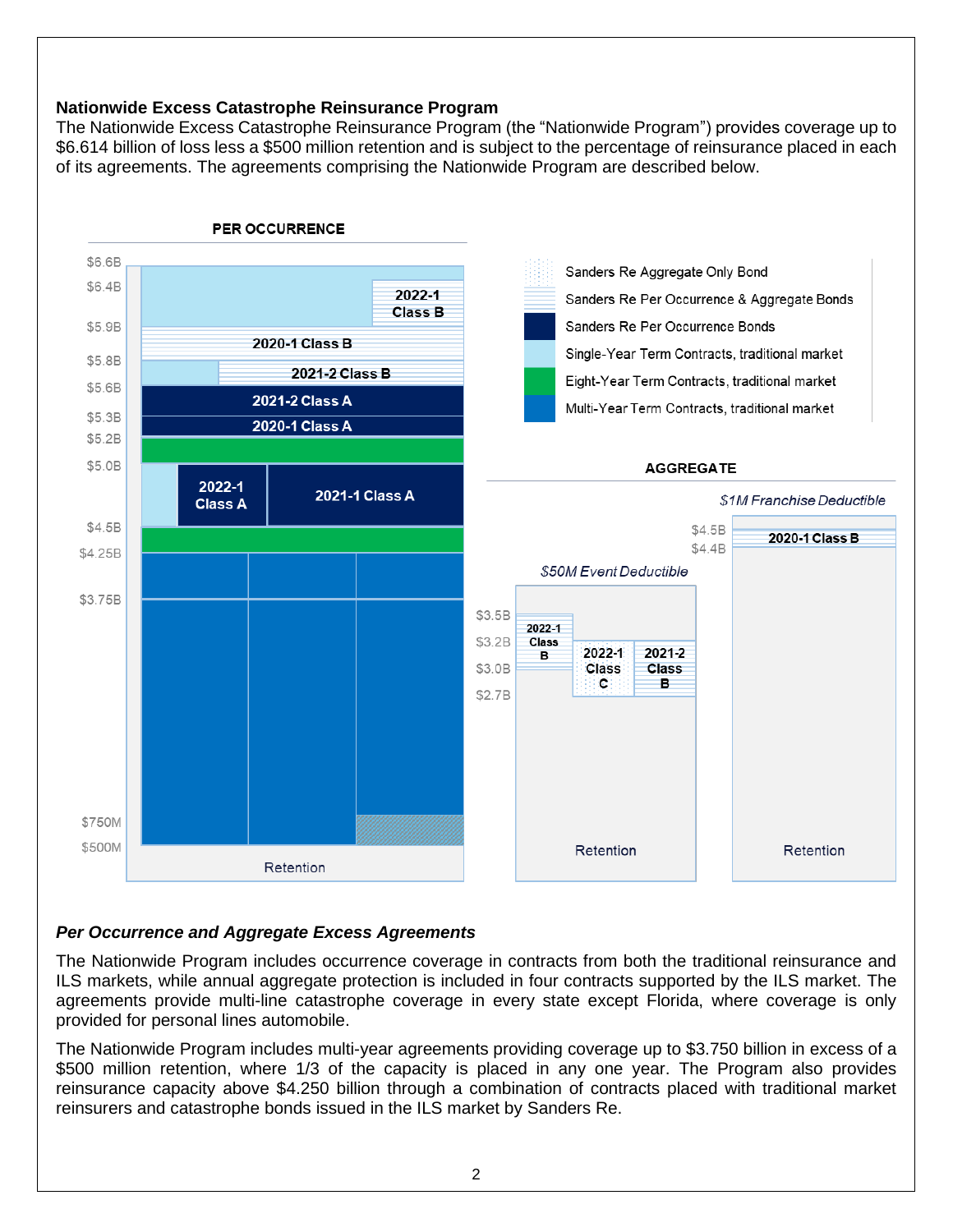### **Nationwide Excess Catastrophe Reinsurance Program**

The Nationwide Excess Catastrophe Reinsurance Program (the "Nationwide Program") provides coverage up to \$6.614 billion of loss less a \$500 million retention and is subject to the percentage of reinsurance placed in each of its agreements. The agreements comprising the Nationwide Program are described below.



## *Per Occurrence and Aggregate Excess Agreements*

The Nationwide Program includes occurrence coverage in contracts from both the traditional reinsurance and ILS markets, while annual aggregate protection is included in four contracts supported by the ILS market. The agreements provide multi-line catastrophe coverage in every state except Florida, where coverage is only provided for personal lines automobile.

The Nationwide Program includes multi-year agreements providing coverage up to \$3.750 billion in excess of a \$500 million retention, where 1/3 of the capacity is placed in any one year. The Program also provides reinsurance capacity above \$4.250 billion through a combination of contracts placed with traditional market reinsurers and catastrophe bonds issued in the ILS market by Sanders Re.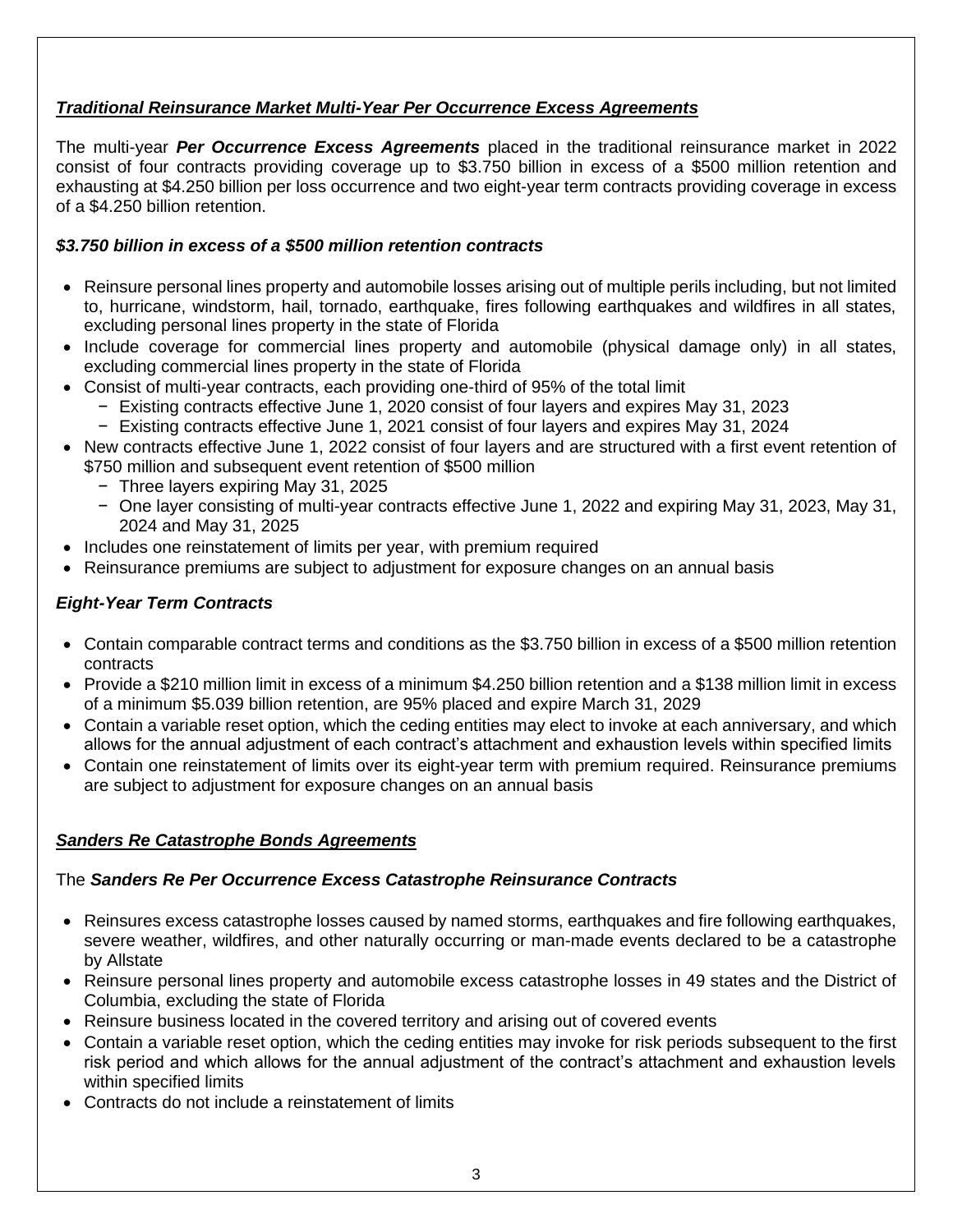# *Traditional Reinsurance Market Multi-Year Per Occurrence Excess Agreements*

The multi-year *Per Occurrence Excess Agreements* placed in the traditional reinsurance market in 2022 consist of four contracts providing coverage up to \$3.750 billion in excess of a \$500 million retention and exhausting at \$4.250 billion per loss occurrence and two eight-year term contracts providing coverage in excess of a \$4.250 billion retention.

### *\$3.750 billion in excess of a \$500 million retention contracts*

- Reinsure personal lines property and automobile losses arising out of multiple perils including, but not limited to, hurricane, windstorm, hail, tornado, earthquake, fires following earthquakes and wildfires in all states, excluding personal lines property in the state of Florida
- Include coverage for commercial lines property and automobile (physical damage only) in all states, excluding commercial lines property in the state of Florida
- Consist of multi-year contracts, each providing one-third of 95% of the total limit
	- − Existing contracts effective June 1, 2020 consist of four layers and expires May 31, 2023
	- − Existing contracts effective June 1, 2021 consist of four layers and expires May 31, 2024
- New contracts effective June 1, 2022 consist of four layers and are structured with a first event retention of \$750 million and subsequent event retention of \$500 million
	- − Three layers expiring May 31, 2025
	- − One layer consisting of multi-year contracts effective June 1, 2022 and expiring May 31, 2023, May 31, 2024 and May 31, 2025
- Includes one reinstatement of limits per year, with premium required
- Reinsurance premiums are subject to adjustment for exposure changes on an annual basis

## *Eight-Year Term Contracts*

- Contain comparable contract terms and conditions as the \$3.750 billion in excess of a \$500 million retention contracts
- Provide a \$210 million limit in excess of a minimum \$4.250 billion retention and a \$138 million limit in excess of a minimum \$5.039 billion retention, are 95% placed and expire March 31, 2029
- Contain a variable reset option, which the ceding entities may elect to invoke at each anniversary, and which allows for the annual adjustment of each contract's attachment and exhaustion levels within specified limits
- Contain one reinstatement of limits over its eight-year term with premium required. Reinsurance premiums are subject to adjustment for exposure changes on an annual basis

#### *Sanders Re Catastrophe Bonds Agreements*

#### The *Sanders Re Per Occurrence Excess Catastrophe Reinsurance Contracts*

- Reinsures excess catastrophe losses caused by named storms, earthquakes and fire following earthquakes, severe weather, wildfires, and other naturally occurring or man-made events declared to be a catastrophe by Allstate
- Reinsure personal lines property and automobile excess catastrophe losses in 49 states and the District of Columbia, excluding the state of Florida
- Reinsure business located in the covered territory and arising out of covered events
- Contain a variable reset option, which the ceding entities may invoke for risk periods subsequent to the first risk period and which allows for the annual adjustment of the contract's attachment and exhaustion levels within specified limits
- Contracts do not include a reinstatement of limits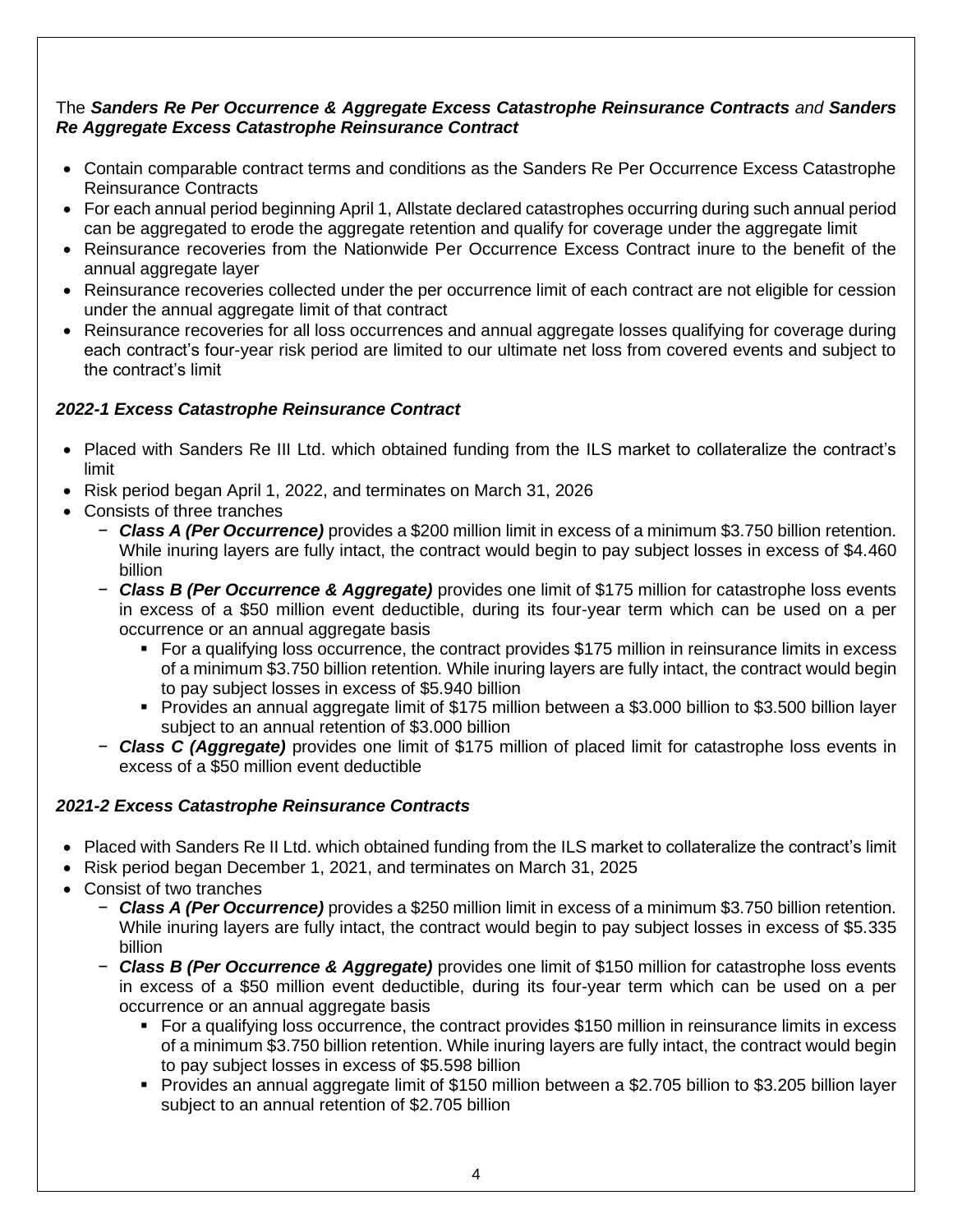### The *Sanders Re Per Occurrence & Aggregate Excess Catastrophe Reinsurance Contracts and Sanders Re Aggregate Excess Catastrophe Reinsurance Contract*

- Contain comparable contract terms and conditions as the Sanders Re Per Occurrence Excess Catastrophe Reinsurance Contracts
- For each annual period beginning April 1, Allstate declared catastrophes occurring during such annual period can be aggregated to erode the aggregate retention and qualify for coverage under the aggregate limit
- Reinsurance recoveries from the Nationwide Per Occurrence Excess Contract inure to the benefit of the annual aggregate layer
- Reinsurance recoveries collected under the per occurrence limit of each contract are not eligible for cession under the annual aggregate limit of that contract
- Reinsurance recoveries for all loss occurrences and annual aggregate losses qualifying for coverage during each contract's four-year risk period are limited to our ultimate net loss from covered events and subject to the contract's limit

# *2022-1 Excess Catastrophe Reinsurance Contract*

- Placed with Sanders Re III Ltd. which obtained funding from the ILS market to collateralize the contract's limit
- Risk period began April 1, 2022, and terminates on March 31, 2026
- Consists of three tranches
	- − *Class A (Per Occurrence)* provides a \$200 million limit in excess of a minimum \$3.750 billion retention. While inuring layers are fully intact, the contract would begin to pay subject losses in excess of \$4.460 billion
	- − *Class B (Per Occurrence & Aggregate)* provides one limit of \$175 million for catastrophe loss events in excess of a \$50 million event deductible, during its four-year term which can be used on a per occurrence or an annual aggregate basis
		- For a qualifying loss occurrence, the contract provides \$175 million in reinsurance limits in excess of a minimum \$3.750 billion retention*.* While inuring layers are fully intact, the contract would begin to pay subject losses in excess of \$5.940 billion
		- Provides an annual aggregate limit of \$175 million between a \$3.000 billion to \$3.500 billion layer subject to an annual retention of \$3.000 billion
	- − *Class C (Aggregate)* provides one limit of \$175 million of placed limit for catastrophe loss events in excess of a \$50 million event deductible

## *2021-2 Excess Catastrophe Reinsurance Contracts*

- Placed with Sanders Re II Ltd. which obtained funding from the ILS market to collateralize the contract's limit
- Risk period began December 1, 2021, and terminates on March 31, 2025
- Consist of two tranches
	- − *Class A (Per Occurrence)* provides a \$250 million limit in excess of a minimum \$3.750 billion retention. While inuring layers are fully intact, the contract would begin to pay subject losses in excess of \$5.335 billion
	- − *Class B (Per Occurrence & Aggregate)* provides one limit of \$150 million for catastrophe loss events in excess of a \$50 million event deductible, during its four-year term which can be used on a per occurrence or an annual aggregate basis
		- For a qualifying loss occurrence, the contract provides \$150 million in reinsurance limits in excess of a minimum \$3.750 billion retention. While inuring layers are fully intact, the contract would begin to pay subject losses in excess of \$5.598 billion
		- Provides an annual aggregate limit of \$150 million between a \$2.705 billion to \$3.205 billion layer subject to an annual retention of \$2.705 billion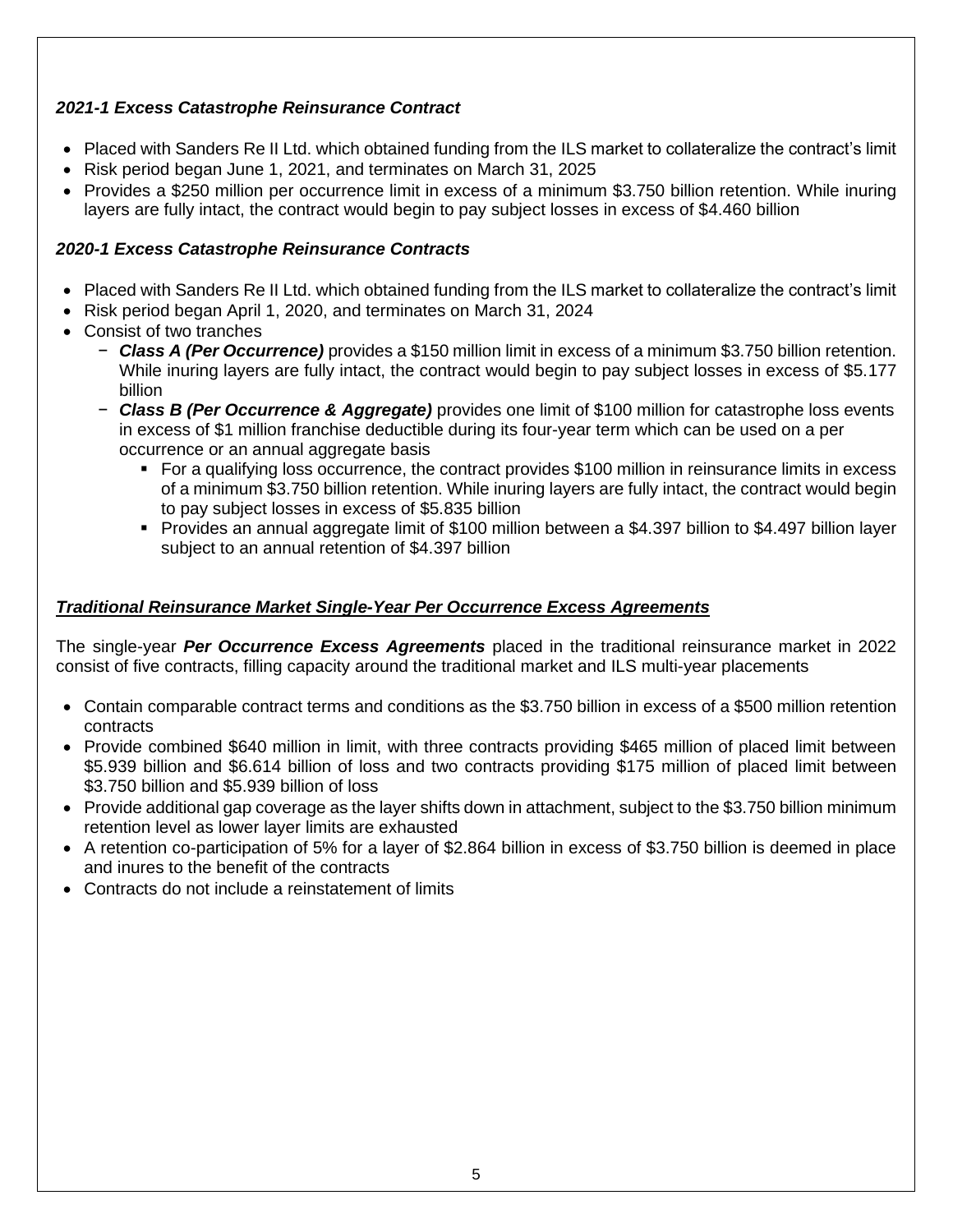## *2021-1 Excess Catastrophe Reinsurance Contract*

- Placed with Sanders Re II Ltd. which obtained funding from the ILS market to collateralize the contract's limit
- Risk period began June 1, 2021, and terminates on March 31, 2025
- Provides a \$250 million per occurrence limit in excess of a minimum \$3.750 billion retention. While inuring layers are fully intact, the contract would begin to pay subject losses in excess of \$4.460 billion

# *2020-1 Excess Catastrophe Reinsurance Contracts*

- Placed with Sanders Re II Ltd. which obtained funding from the ILS market to collateralize the contract's limit
- Risk period began April 1, 2020, and terminates on March 31, 2024
- Consist of two tranches
	- − *Class A (Per Occurrence)* provides a \$150 million limit in excess of a minimum \$3.750 billion retention. While inuring layers are fully intact, the contract would begin to pay subject losses in excess of \$5.177 billion
	- − *Class B (Per Occurrence & Aggregate)* provides one limit of \$100 million for catastrophe loss events in excess of \$1 million franchise deductible during its four-year term which can be used on a per occurrence or an annual aggregate basis
		- For a qualifying loss occurrence, the contract provides \$100 million in reinsurance limits in excess of a minimum \$3.750 billion retention. While inuring layers are fully intact, the contract would begin to pay subject losses in excess of \$5.835 billion
		- Provides an annual aggregate limit of \$100 million between a \$4.397 billion to \$4.497 billion layer subject to an annual retention of \$4.397 billion

# *Traditional Reinsurance Market Single-Year Per Occurrence Excess Agreements*

The single-year *Per Occurrence Excess Agreements* placed in the traditional reinsurance market in 2022 consist of five contracts, filling capacity around the traditional market and ILS multi-year placements

- Contain comparable contract terms and conditions as the \$3.750 billion in excess of a \$500 million retention contracts
- Provide combined \$640 million in limit, with three contracts providing \$465 million of placed limit between \$5.939 billion and \$6.614 billion of loss and two contracts providing \$175 million of placed limit between \$3.750 billion and \$5.939 billion of loss
- Provide additional gap coverage as the layer shifts down in attachment, subject to the \$3.750 billion minimum retention level as lower layer limits are exhausted
- A retention co-participation of 5% for a layer of \$2.864 billion in excess of \$3.750 billion is deemed in place and inures to the benefit of the contracts
- Contracts do not include a reinstatement of limits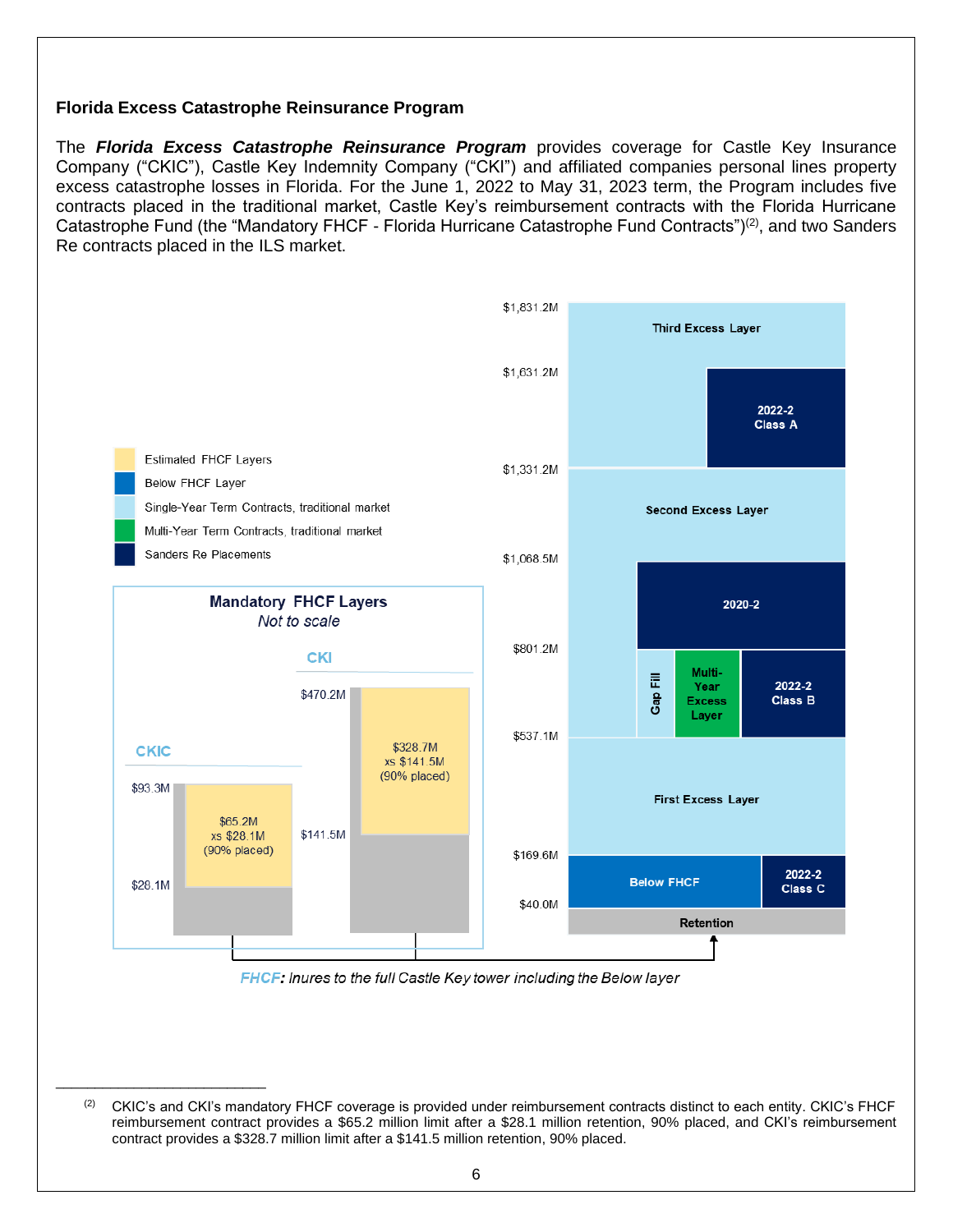#### **Florida Excess Catastrophe Reinsurance Program**

\_\_\_\_\_\_\_\_\_\_\_\_\_\_\_\_\_\_\_\_\_\_\_\_\_\_\_

The *Florida Excess Catastrophe Reinsurance Program* provides coverage for Castle Key Insurance Company ("CKIC"), Castle Key Indemnity Company ("CKI") and affiliated companies personal lines property excess catastrophe losses in Florida. For the June 1, 2022 to May 31, 2023 term, the Program includes five contracts placed in the traditional market, Castle Key's reimbursement contracts with the Florida Hurricane Catastrophe Fund (the "Mandatory FHCF - Florida Hurricane Catastrophe Fund Contracts")<sup>(2)</sup>, and two Sanders Re contracts placed in the ILS market.



**FHCF:** Inures to the full Castle Key tower including the Below layer

<sup>&</sup>lt;sup>(2)</sup> CKIC's and CKI's mandatory FHCF coverage is provided under reimbursement contracts distinct to each entity. CKIC's FHCF reimbursement contract provides a \$65.2 million limit after a \$28.1 million retention, 90% placed, and CKI's reimbursement contract provides a \$328.7 million limit after a \$141.5 million retention, 90% placed.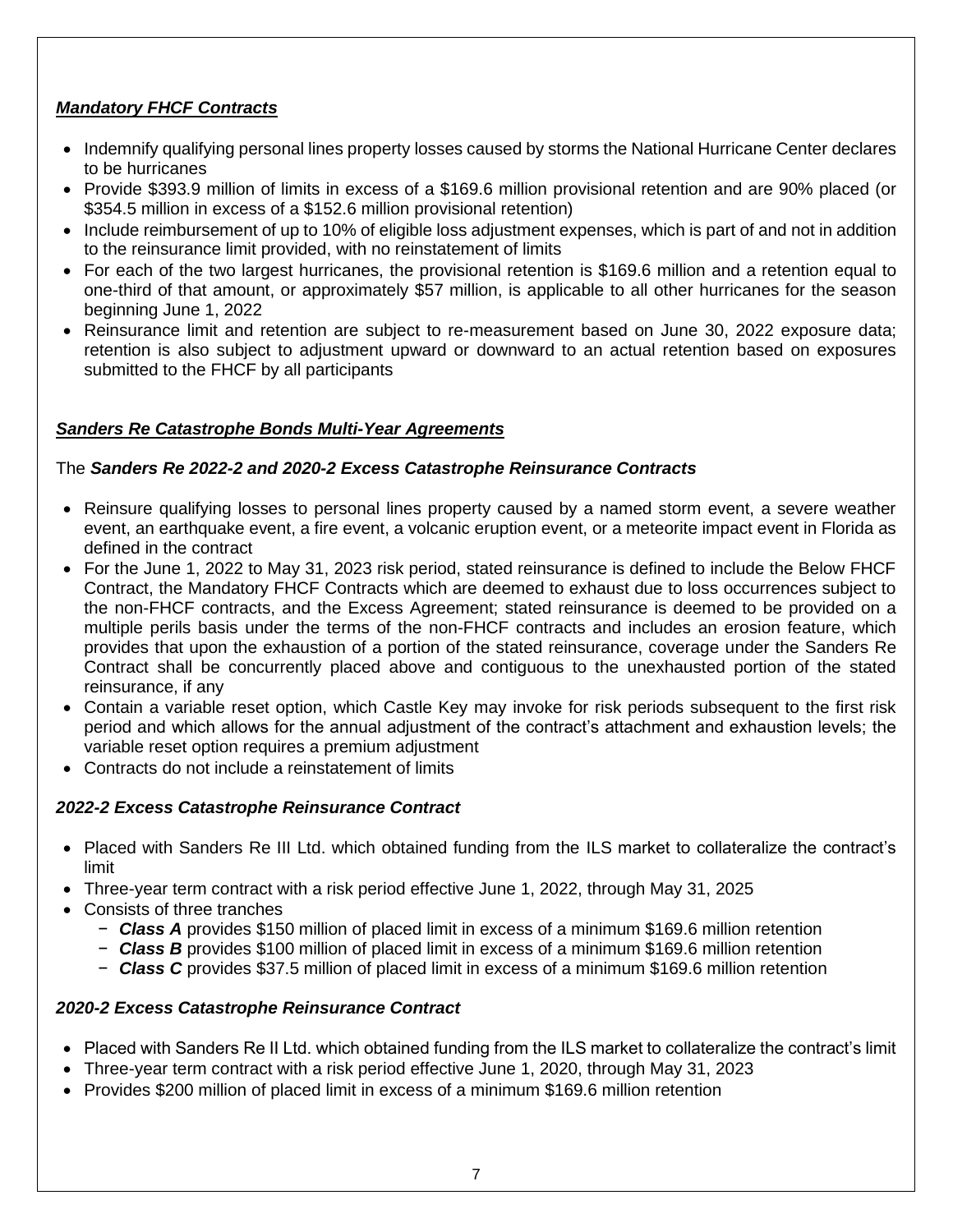# *Mandatory FHCF Contracts*

- Indemnify qualifying personal lines property losses caused by storms the National Hurricane Center declares to be hurricanes
- Provide \$393.9 million of limits in excess of a \$169.6 million provisional retention and are 90% placed (or \$354.5 million in excess of a \$152.6 million provisional retention)
- Include reimbursement of up to 10% of eligible loss adjustment expenses, which is part of and not in addition to the reinsurance limit provided, with no reinstatement of limits
- For each of the two largest hurricanes, the provisional retention is \$169.6 million and a retention equal to one-third of that amount, or approximately \$57 million, is applicable to all other hurricanes for the season beginning June 1, 2022
- Reinsurance limit and retention are subject to re-measurement based on June 30, 2022 exposure data; retention is also subject to adjustment upward or downward to an actual retention based on exposures submitted to the FHCF by all participants

# *Sanders Re Catastrophe Bonds Multi-Year Agreements*

# The *Sanders Re 2022-2 and 2020-2 Excess Catastrophe Reinsurance Contracts*

- Reinsure qualifying losses to personal lines property caused by a named storm event, a severe weather event, an earthquake event, a fire event, a volcanic eruption event, or a meteorite impact event in Florida as defined in the contract
- For the June 1, 2022 to May 31, 2023 risk period, stated reinsurance is defined to include the Below FHCF Contract, the Mandatory FHCF Contracts which are deemed to exhaust due to loss occurrences subject to the non-FHCF contracts, and the Excess Agreement; stated reinsurance is deemed to be provided on a multiple perils basis under the terms of the non-FHCF contracts and includes an erosion feature, which provides that upon the exhaustion of a portion of the stated reinsurance, coverage under the Sanders Re Contract shall be concurrently placed above and contiguous to the unexhausted portion of the stated reinsurance, if any
- Contain a variable reset option, which Castle Key may invoke for risk periods subsequent to the first risk period and which allows for the annual adjustment of the contract's attachment and exhaustion levels; the variable reset option requires a premium adjustment
- Contracts do not include a reinstatement of limits

# *2022-2 Excess Catastrophe Reinsurance Contract*

- Placed with Sanders Re III Ltd. which obtained funding from the ILS market to collateralize the contract's limit
- Three-year term contract with a risk period effective June 1, 2022, through May 31, 2025
- Consists of three tranches
	- − *Class A* provides \$150 million of placed limit in excess of a minimum \$169.6 million retention
	- − *Class B* provides \$100 million of placed limit in excess of a minimum \$169.6 million retention
	- − *Class C* provides \$37.5 million of placed limit in excess of a minimum \$169.6 million retention

## *2020-2 Excess Catastrophe Reinsurance Contract*

- Placed with Sanders Re II Ltd. which obtained funding from the ILS market to collateralize the contract's limit
- Three-year term contract with a risk period effective June 1, 2020, through May 31, 2023
- Provides \$200 million of placed limit in excess of a minimum \$169.6 million retention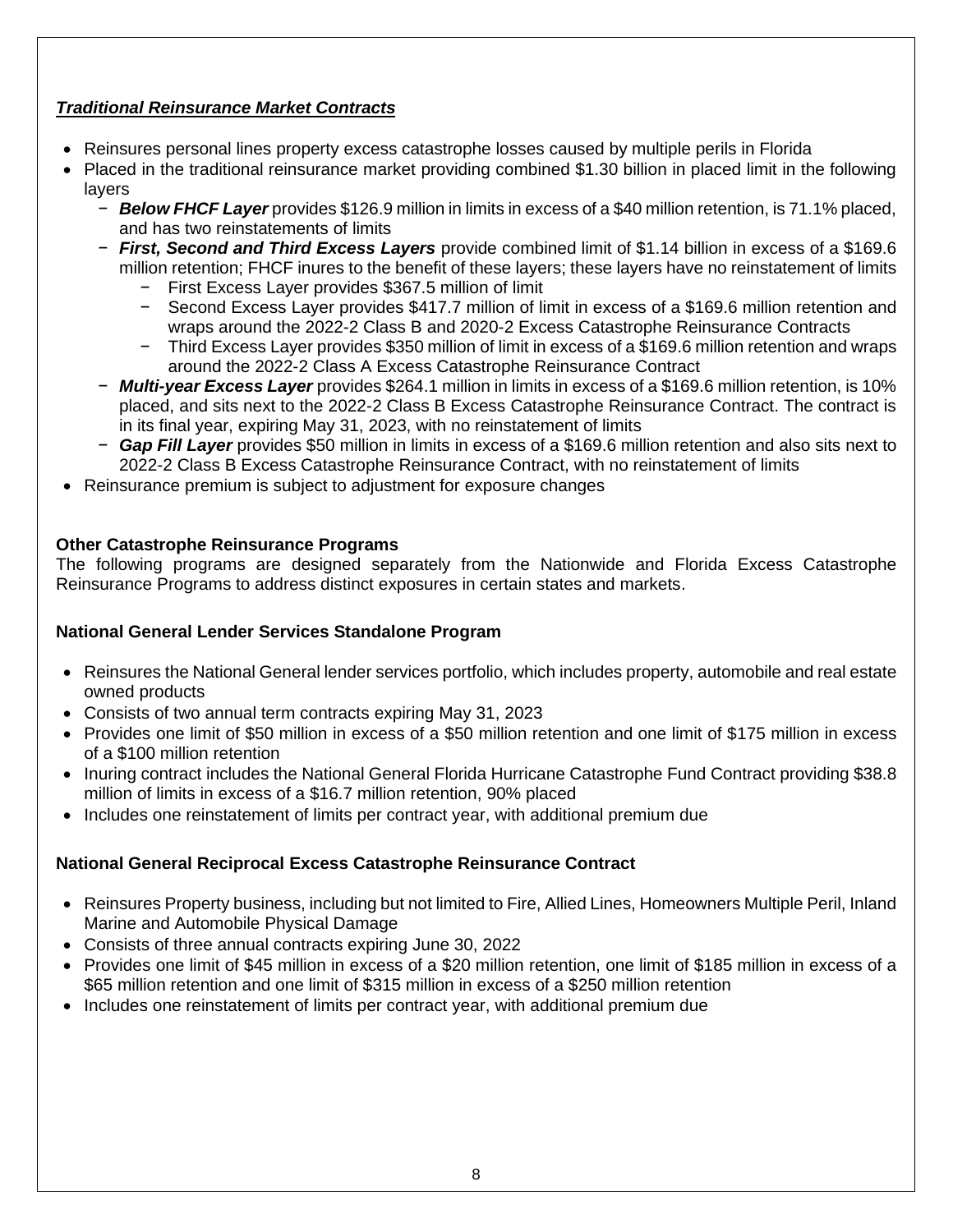# *Traditional Reinsurance Market Contracts*

- Reinsures personal lines property excess catastrophe losses caused by multiple perils in Florida
- Placed in the traditional reinsurance market providing combined \$1.30 billion in placed limit in the following layers
	- − *Below FHCF Layer* provides \$126.9 million in limits in excess of a \$40 million retention, is 71.1% placed, and has two reinstatements of limits
	- − *First, Second and Third Excess Layers* provide combined limit of \$1.14 billion in excess of a \$169.6 million retention; FHCF inures to the benefit of these layers; these layers have no reinstatement of limits
		- − First Excess Layer provides \$367.5 million of limit
		- − Second Excess Layer provides \$417.7 million of limit in excess of a \$169.6 million retention and wraps around the 2022-2 Class B and 2020-2 Excess Catastrophe Reinsurance Contracts
		- − Third Excess Layer provides \$350 million of limit in excess of a \$169.6 million retention and wraps around the 2022-2 Class A Excess Catastrophe Reinsurance Contract
	- − *Multi-year Excess Layer* provides \$264.1 million in limits in excess of a \$169.6 million retention, is 10% placed, and sits next to the 2022-2 Class B Excess Catastrophe Reinsurance Contract. The contract is in its final year, expiring May 31, 2023, with no reinstatement of limits
	- − *Gap Fill Layer* provides \$50 million in limits in excess of a \$169.6 million retention and also sits next to 2022-2 Class B Excess Catastrophe Reinsurance Contract, with no reinstatement of limits
- Reinsurance premium is subject to adjustment for exposure changes

## **Other Catastrophe Reinsurance Programs**

The following programs are designed separately from the Nationwide and Florida Excess Catastrophe Reinsurance Programs to address distinct exposures in certain states and markets.

## **National General Lender Services Standalone Program**

- Reinsures the National General lender services portfolio, which includes property, automobile and real estate owned products
- Consists of two annual term contracts expiring May 31, 2023
- Provides one limit of \$50 million in excess of a \$50 million retention and one limit of \$175 million in excess of a \$100 million retention
- Inuring contract includes the National General Florida Hurricane Catastrophe Fund Contract providing \$38.8 million of limits in excess of a \$16.7 million retention, 90% placed
- Includes one reinstatement of limits per contract year, with additional premium due

## **National General Reciprocal Excess Catastrophe Reinsurance Contract**

- Reinsures Property business, including but not limited to Fire, Allied Lines, Homeowners Multiple Peril, Inland Marine and Automobile Physical Damage
- Consists of three annual contracts expiring June 30, 2022
- Provides one limit of \$45 million in excess of a \$20 million retention, one limit of \$185 million in excess of a \$65 million retention and one limit of \$315 million in excess of a \$250 million retention
- Includes one reinstatement of limits per contract year, with additional premium due